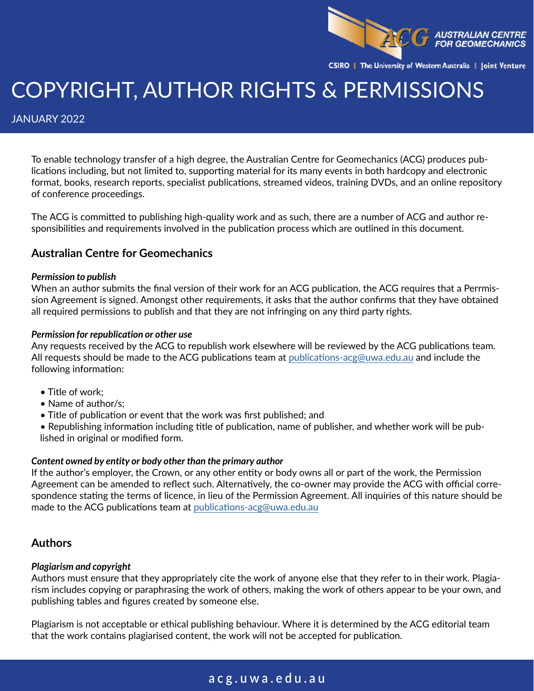

CSIRO | The University of Western Australia | Joint Venture

# COPYRIGHT, AUTHOR RIGHTS & PERMISSIONS

JANUARY 2022

To enable technology transfer of a high degree, the Australian Centre for Geomechanics (ACG) produces publications including, but not limited to, supporting material for its many events in both hardcopy and electronic format, books, research reports, specialist publications, streamed videos, training DVDs, and an online repository of conference proceedings.

The ACG is committed to publishing high-quality work and as such, there are a number of ACG and author responsibilities and requirements involved in the publication process which are outlined in this document.

### **Australian Centre for Geomechanics**

### *Permission to publish*

When an author submits the final version of their work for an ACG publication, the ACG requires that a Perrmission Agreement is signed. Amongst other requirements, it asks that the author confirms that they have obtained all required permissions to publish and that they are not infringing on any third party rights.

### *Permission for republication or other use*

Any requests received by the ACG to republish work elsewhere will be reviewed by the ACG publications team. All requests should be made to the ACG publications team at [publications-acg@uwa.edu.au](mailto:publications-acg@uwa.edu.au) and include the following information:

- Title of work:
- Name of author/s;
- Title of publication or event that the work was first published; and
- Republishing information including title of publication, name of publisher, and whether work will be published in original or modified form.

### *Content owned by entity or body other than the primary author*

If the author's employer, the Crown, or any other entity or body owns all or part of the work, the Permission Agreement can be amended to reflect such. Alternatively, the co-owner may provide the ACG with official correspondence stating the terms of licence, in lieu of the Permission Agreement. All inquiries of this nature should be made to the ACG publications team at [publications-acg@uwa.edu.au](mailto:publications-acg@uwa.edu.au)

### **Authors**

### *Plagiarism and copyright*

Authors must ensure that they appropriately cite the work of anyone else that they refer to in their work. Plagiarism includes copying or paraphrasing the work of others, making the work of others appear to be your own, and publishing tables and figures created by someone else.

Plagiarism is not acceptable or ethical publishing behaviour. Where it is determined by the ACG editorial team that the work contains plagiarised content, the work will not be accepted for publication.

# **[acg.uwa.edu.au](http://acg.uwa.edu.au)**